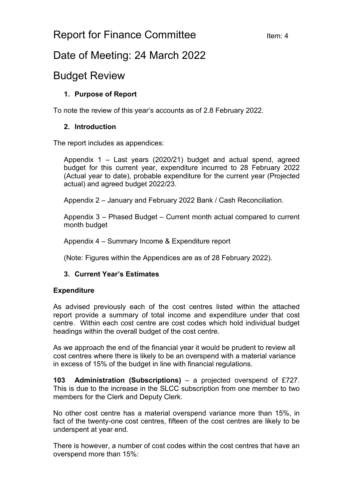# Report for Finance Committee Item: 4

## Date of Meeting: 24 March 2022

## Budget Review

### **1. Purpose of Report**

To note the review of this year's accounts as of 2.8 February 2022.

### **2. Introduction**

The report includes as appendices:

Appendix 1 – Last years (2020/21) budget and actual spend, agreed budget for this current year, expenditure incurred to 28 February 2022 (Actual year to date), probable expenditure for the current year (Projected actual) and agreed budget 2022/23.

Appendix 2 – January and February 2022 Bank / Cash Reconciliation.

Appendix 3 – Phased Budget – Current month actual compared to current month budget

Appendix 4 – Summary Income & Expenditure report

(Note: Figures within the Appendices are as of 28 February 2022).

#### **3. Current Year's Estimates**

#### **Expenditure**

As advised previously each of the cost centres listed within the attached report provide a summary of total income and expenditure under that cost centre. Within each cost centre are cost codes which hold individual budget headings within the overall budget of the cost centre.

As we approach the end of the financial year it would be prudent to review all cost centres where there is likely to be an overspend with a material variance in excess of 15% of the budget in line with financial regulations.

**103 Administration (Subscriptions)** – a projected overspend of £727. This is due to the increase in the SLCC subscription from one member to two members for the Clerk and Deputy Clerk.

No other cost centre has a material overspend variance more than 15%, in fact of the twenty-one cost centres, fifteen of the cost centres are likely to be underspent at year end.

There is however, a number of cost codes within the cost centres that have an overspend more than 15%: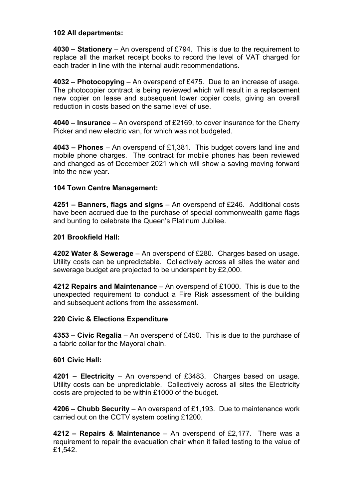#### **102 All departments:**

**4030 – Stationery** – An overspend of £794. This is due to the requirement to replace all the market receipt books to record the level of VAT charged for each trader in line with the internal audit recommendations.

**4032 – Photocopying** – An overspend of £475. Due to an increase of usage. The photocopier contract is being reviewed which will result in a replacement new copier on lease and subsequent lower copier costs, giving an overall reduction in costs based on the same level of use.

**4040 – Insurance** – An overspend of £2169, to cover insurance for the Cherry Picker and new electric van, for which was not budgeted.

**4043 – Phones** – An overspend of £1,381. This budget covers land line and mobile phone charges. The contract for mobile phones has been reviewed and changed as of December 2021 which will show a saving moving forward into the new year.

#### **104 Town Centre Management:**

**4251 – Banners, flags and signs** – An overspend of £246. Additional costs have been accrued due to the purchase of special commonwealth game flags and bunting to celebrate the Queen's Platinum Jubilee.

#### **201 Brookfield Hall:**

**4202 Water & Sewerage** – An overspend of £280. Charges based on usage. Utility costs can be unpredictable. Collectively across all sites the water and sewerage budget are projected to be underspent by £2,000.

**4212 Repairs and Maintenance** – An overspend of £1000. This is due to the unexpected requirement to conduct a Fire Risk assessment of the building and subsequent actions from the assessment.

#### **220 Civic & Elections Expenditure**

**4353 – Civic Regalia** – An overspend of £450. This is due to the purchase of a fabric collar for the Mayoral chain.

#### **601 Civic Hall:**

**4201 – Electricity** – An overspend of £3483. Charges based on usage. Utility costs can be unpredictable. Collectively across all sites the Electricity costs are projected to be within £1000 of the budget.

**4206 – Chubb Security** – An overspend of £1,193. Due to maintenance work carried out on the CCTV system costing £1200.

**4212 – Repairs & Maintenance** – An overspend of £2,177. There was a requirement to repair the evacuation chair when it failed testing to the value of £1,542.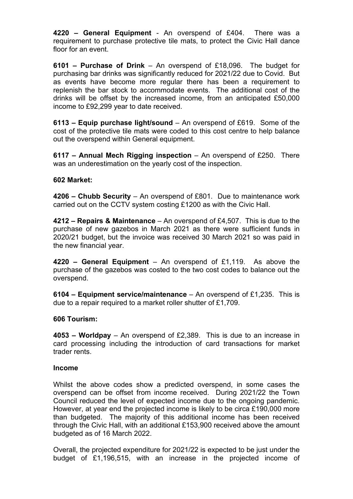**4220 – General Equipment** - An overspend of £404. There was a requirement to purchase protective tile mats, to protect the Civic Hall dance floor for an event.

**6101 – Purchase of Drink** – An overspend of £18,096. The budget for purchasing bar drinks was significantly reduced for 2021/22 due to Covid. But as events have become more regular there has been a requirement to replenish the bar stock to accommodate events. The additional cost of the drinks will be offset by the increased income, from an anticipated £50,000 income to £92,299 year to date received.

**6113 – Equip purchase light/sound** – An overspend of £619. Some of the cost of the protective tile mats were coded to this cost centre to help balance out the overspend within General equipment.

**6117 – Annual Mech Rigging inspection** – An overspend of £250. There was an underestimation on the yearly cost of the inspection.

#### **602 Market:**

**4206 – Chubb Security** – An overspend of £801. Due to maintenance work carried out on the CCTV system costing £1200 as with the Civic Hall.

**4212 – Repairs & Maintenance** – An overspend of £4,507. This is due to the purchase of new gazebos in March 2021 as there were sufficient funds in 2020/21 budget, but the invoice was received 30 March 2021 so was paid in the new financial year.

**4220 – General Equipment** – An overspend of £1,119. As above the purchase of the gazebos was costed to the two cost codes to balance out the overspend.

**6104 – Equipment service/maintenance** – An overspend of £1,235. This is due to a repair required to a market roller shutter of £1,709.

#### **606 Tourism:**

**4053 – Worldpay** – An overspend of £2,389. This is due to an increase in card processing including the introduction of card transactions for market trader rents.

#### **Income**

Whilst the above codes show a predicted overspend, in some cases the overspend can be offset from income received. During 2021/22 the Town Council reduced the level of expected income due to the ongoing pandemic. However, at year end the projected income is likely to be circa £190,000 more than budgeted. The majority of this additional income has been received through the Civic Hall, with an additional £153,900 received above the amount budgeted as of 16 March 2022.

Overall, the projected expenditure for 2021/22 is expected to be just under the budget of £1,196,515, with an increase in the projected income of